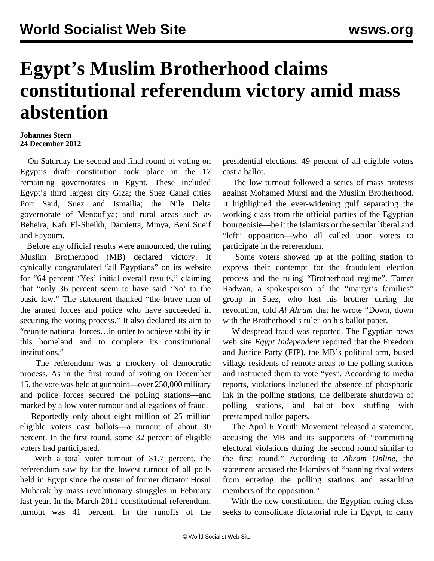## **Egypt's Muslim Brotherhood claims constitutional referendum victory amid mass abstention**

## **Johannes Stern 24 December 2012**

 On Saturday the second and final round of voting on Egypt's draft constitution took place in the 17 remaining governorates in Egypt. These included Egypt's third largest city Giza; the Suez Canal cities Port Said, Suez and Ismailia; the Nile Delta governorate of Menoufiya; and rural areas such as Beheira, Kafr El-Sheikh, Damietta, Minya, Beni Sueif and Fayoum.

 Before any official results were announced, the ruling Muslim Brotherhood (MB) declared victory. It cynically congratulated "all Egyptians" on its website for "64 percent 'Yes' initial overall results," claiming that "only 36 percent seem to have said 'No' to the basic law." The statement thanked "the brave men of the armed forces and police who have succeeded in securing the voting process." It also declared its aim to "reunite national forces…in order to achieve stability in this homeland and to complete its constitutional institutions."

 The referendum was a mockery of democratic process. As in the first round of voting on December 15, the vote was held at gunpoint—over 250,000 military and police forces secured the polling stations—and marked by a low voter turnout and allegations of fraud.

 Reportedly only about eight million of 25 million eligible voters cast ballots—a turnout of about 30 percent. In the first round, some 32 percent of eligible voters had participated.

 With a total voter turnout of 31.7 percent, the referendum saw by far the lowest turnout of all polls held in Egypt since the ouster of former dictator Hosni Mubarak by mass revolutionary struggles in February last year. In the March 2011 constitutional referendum, turnout was 41 percent. In the runoffs of the presidential elections, 49 percent of all eligible voters cast a ballot.

 The low turnout followed a series of mass protests against Mohamed Mursi and the Muslim Brotherhood. It highlighted the ever-widening gulf separating the working class from the official parties of the Egyptian bourgeoisie—be it the Islamists or the secular liberal and "left" opposition—who all called upon voters to participate in the referendum.

 Some voters showed up at the polling station to express their contempt for the fraudulent election process and the ruling "Brotherhood regime". Tamer Radwan, a spokesperson of the "martyr's families" group in Suez, who lost his brother during the revolution, told *Al Ahram* that he wrote "Down, down with the Brotherhood's rule" on his ballot paper.

 Widespread fraud was reported. The Egyptian news web site *Egypt Independent* reported that the Freedom and Justice Party (FJP), the MB's political arm, bused village residents of remote areas to the polling stations and instructed them to vote "yes". According to media reports, violations included the absence of phosphoric ink in the polling stations, the deliberate shutdown of polling stations, and ballot box stuffing with prestamped ballot papers.

 The April 6 Youth Movement released a statement, accusing the MB and its supporters of "committing electoral violations during the second round similar to the first round." According to *Ahram Online*, the statement accused the Islamists of "banning rival voters from entering the polling stations and assaulting members of the opposition."

 With the new constitution, the Egyptian ruling class seeks to consolidate dictatorial rule in Egypt, to carry